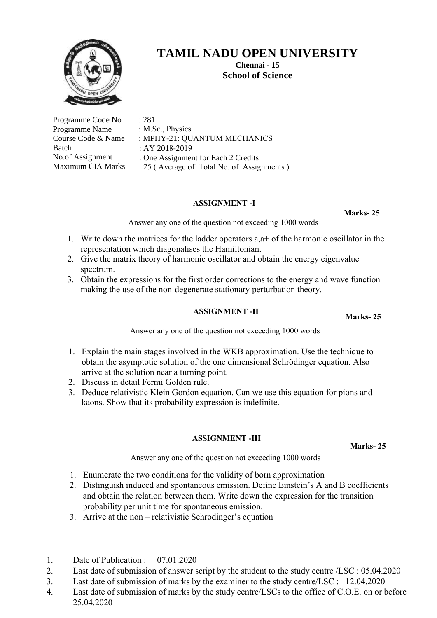

**Chennai - 15 School of Science** 

| Programme Code No        | : 281                                      |
|--------------------------|--------------------------------------------|
| Programme Name           | : M.Sc., Physics                           |
| Course Code & Name       | : MPHY-21: QUANTUM MECHANICS               |
| Batch                    | : AY 2018-2019                             |
| No.of Assignment         | : One Assignment for Each 2 Credits        |
| <b>Maximum CIA Marks</b> | : 25 (Average of Total No. of Assignments) |

## **ASSIGNMENT -I**

**Marks- 25**

Answer any one of the question not exceeding 1000 words

- 1. Write down the matrices for the ladder operators a,a+ of the harmonic oscillator in the representation which diagonalises the Hamiltonian.
- 2. Give the matrix theory of harmonic oscillator and obtain the energy eigenvalue spectrum.
- 3. Obtain the expressions for the first order corrections to the energy and wave function making the use of the non-degenerate stationary perturbation theory.

### **ASSIGNMENT -II**

**Marks- 25**

Answer any one of the question not exceeding 1000 words

- 1. Explain the main stages involved in the WKB approximation. Use the technique to obtain the asymptotic solution of the one dimensional Schrödinger equation. Also arrive at the solution near a turning point.
- 2. Discuss in detail Fermi Golden rule.
- 3. Deduce relativistic Klein Gordon equation. Can we use this equation for pions and kaons. Show that its probability expression is indefinite.

### **ASSIGNMENT -III**

**Marks- 25**

- 1. Enumerate the two conditions for the validity of born approximation
- 2. Distinguish induced and spontaneous emission. Define Einstein's A and B coefficients and obtain the relation between them. Write down the expression for the transition probability per unit time for spontaneous emission.
- 3. Arrive at the non relativistic Schrodinger's equation
- 1. Date of Publication : 07.01.2020
- 2. Last date of submission of answer script by the student to the study centre /LSC : 05.04.2020
- 3. Last date of submission of marks by the examiner to the study centre/LSC : 12.04.2020
- 4. Last date of submission of marks by the study centre/LSCs to the office of C.O.E. on or before 25.04.2020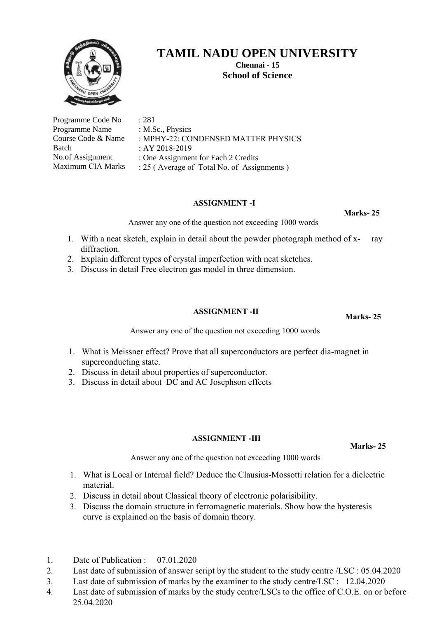

**Chennai - 15 School of Science** 

**PHYSICS** 

| Programme Code No        | : 281                                      |
|--------------------------|--------------------------------------------|
| Programme Name           | : M.Sc., Physics                           |
| Course Code & Name       | : MPHY-22: CONDENSED MATTER PHYS           |
| Batch                    | : AY 2018-2019                             |
| No.of Assignment         | : One Assignment for Each 2 Credits        |
| <b>Maximum CIA Marks</b> | : 25 (Average of Total No. of Assignments) |

### **ASSIGNMENT -I**

**Marks- 25**

**Marks- 25**

Answer any one of the question not exceeding 1000 words

- 1. With a neat sketch, explain in detail about the powder photograph method of x- ray diffraction.
- 2. Explain different types of crystal imperfection with neat sketches.
- 3. Discuss in detail Free electron gas model in three dimension.

## **ASSIGNMENT -II**

Answer any one of the question not exceeding 1000 words

- 1. What is Meissner effect? Prove that all superconductors are perfect dia-magnet in superconducting state.
- 2. Discuss in detail about properties of superconductor.
- 3. Discuss in detail about DC and AC Josephson effects

### **ASSIGNMENT -III**

**Marks- 25**

- 1. What is Local or Internal field? Deduce the Clausius-Mossotti relation for a dielectric material.
- 2. Discuss in detail about Classical theory of electronic polarisibility.
- 3. Discuss the domain structure in ferromagnetic materials. Show how the hysteresis curve is explained on the basis of domain theory.
- 1. Date of Publication : 07.01.2020
- 2. Last date of submission of answer script by the student to the study centre /LSC : 05.04.2020
- 3. Last date of submission of marks by the examiner to the study centre/LSC : 12.04.2020
- 4. Last date of submission of marks by the study centre/LSCs to the office of C.O.E. on or before 25.04.2020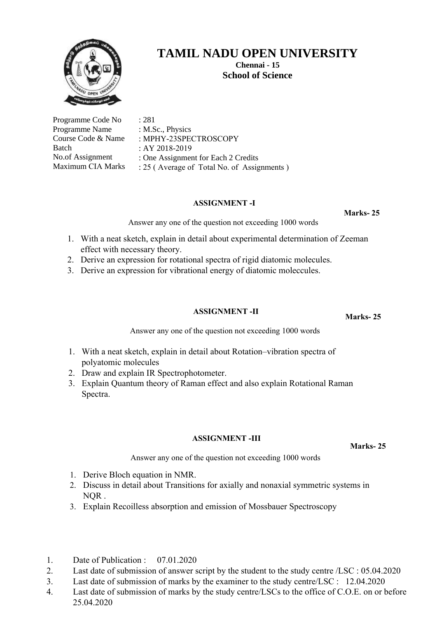

**Chennai - 15 School of Science** 

| Programme Code No  | : 281           |
|--------------------|-----------------|
| Programme Name     | : $M.Sc., Phys$ |
| Course Code & Name | $:$ MPHY-23S    |
| Batch              | : AY 2018-20    |
| No.of Assignment   | : One Assign    |
| Maximum CIA Marks  | $: 25$ (Averag  |

sics. **SPECTROSCOPY** 

019

ment for Each 2 Credits

ge of Total No. of Assignments )

## **ASSIGNMENT -I**

**Marks- 25**

Answer any one of the question not exceeding 1000 words

- 1. With a neat sketch, explain in detail about experimental determination of Zeeman effect with necessary theory.
- 2. Derive an expression for rotational spectra of rigid diatomic molecules.
- 3. Derive an expression for vibrational energy of diatomic moleccules.

## **ASSIGNMENT -II**

Answer any one of the question not exceeding 1000 words

- 1. With a neat sketch, explain in detail about Rotation–vibration spectra of polyatomic molecules
- 2. Draw and explain IR Spectrophotometer.
- 3. Explain Quantum theory of Raman effect and also explain Rotational Raman Spectra.

## **ASSIGNMENT -III**

**Marks- 25**

Answer any one of the question not exceeding 1000 words

- 1. Derive Bloch equation in NMR.
- 2. Discuss in detail about Transitions for axially and nonaxial symmetric systems in NQR .
- 3. Explain Recoilless absorption and emission of Mossbauer Spectroscopy
- 1. Date of Publication : 07.01.2020
- 2. Last date of submission of answer script by the student to the study centre /LSC : 05.04.2020
- 3. Last date of submission of marks by the examiner to the study centre/LSC : 12.04.2020
- 4. Last date of submission of marks by the study centre/LSCs to the office of C.O.E. on or before 25.04.2020

**Marks- 25**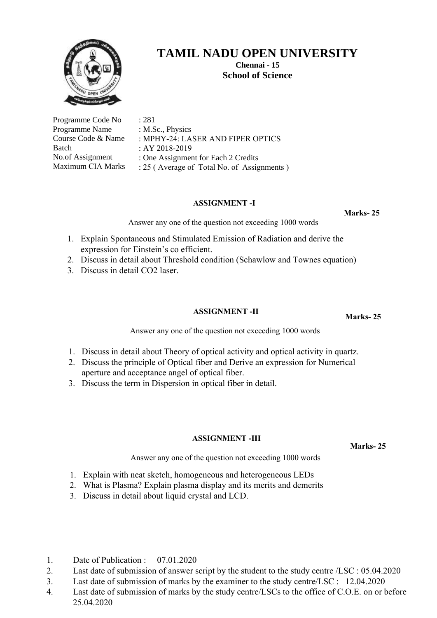

**Chennai - 15 School of Science** 

| Programme Code No        | : 281                                      |
|--------------------------|--------------------------------------------|
| Programme Name           | : M.Sc., Physics                           |
| Course Code & Name       | : MPHY-24: LASER AND FIPER OPTICS          |
| Batch                    | : AY 2018-2019                             |
| No.of Assignment         | : One Assignment for Each 2 Credits        |
| <b>Maximum CIA Marks</b> | : 25 (Average of Total No. of Assignments) |

### **ASSIGNMENT -I**

**Marks- 25**

Answer any one of the question not exceeding 1000 words

- 1. Explain Spontaneous and Stimulated Emission of Radiation and derive the expression for Einstein's co efficient.
- 2. Discuss in detail about Threshold condition (Schawlow and Townes equation)
- 3. Discuss in detail CO2 laser.

## **ASSIGNMENT -II**

**Marks- 25**

Answer any one of the question not exceeding 1000 words

- 1. Discuss in detail about Theory of optical activity and optical activity in quartz.
- 2. Discuss the principle of Optical fiber and Derive an expression for Numerical aperture and acceptance angel of optical fiber.
- 3. Discuss the term in Dispersion in optical fiber in detail.

### **ASSIGNMENT -III**

**Marks- 25**

- 1. Explain with neat sketch, homogeneous and heterogeneous LEDs
- 2. What is Plasma? Explain plasma display and its merits and demerits
- 3. Discuss in detail about liquid crystal and LCD.
- 1. Date of Publication : 07.01.2020
- 2. Last date of submission of answer script by the student to the study centre /LSC : 05.04.2020
- 3. Last date of submission of marks by the examiner to the study centre/LSC : 12.04.2020
- 4. Last date of submission of marks by the study centre/LSCs to the office of C.O.E. on or before 25.04.2020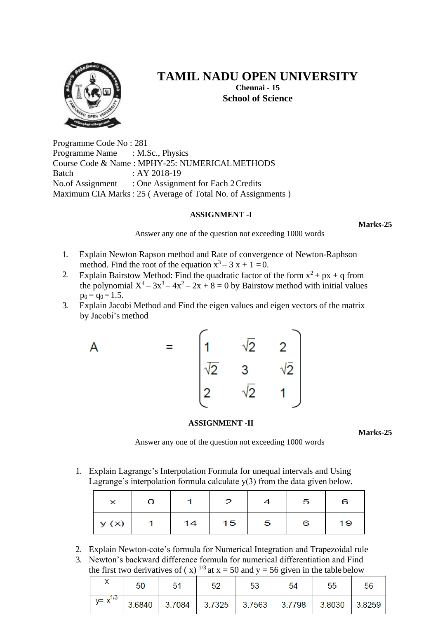

**Chennai - 15 School of Science**

Programme Code No : 281 Programme Name : M.Sc., Physics Course Code & Name : MPHY-25: NUMERICALMETHODS Batch : AY 2018-19 No.of Assignment : One Assignment for Each 2 Credits Maximum CIA Marks: 25 ( Average of Total No. of Assignments )

### **ASSIGNMENT -I**

**Marks-25**

Answer any one of the question not exceeding 1000 words

- 1. Explain Newton Rapson method and Rate of convergence of Newton-Raphson method. Find the root of the equation  $x^3 - 3x + 1 = 0$ .
- 2. Explain Bairstow Method: Find the quadratic factor of the form  $x^2 + px + q$  from the polynomial  $X^4 - 3x^3 - 4x^2 - 2x + 8 = 0$  by Bairstow method with initial values  $p_0 = q_0 = 1.5$ .
- 3. Explain Jacobi Method and Find the eigen values and eigen vectors of the matrix by Jacobi's method



### **ASSIGNMENT -II**

**Marks-25**

Answer any one of the question not exceeding 1000 words

1. Explain Lagrange's Interpolation Formula for unequal intervals and Using Lagrange's interpolation formula calculate y(3) from the data given below.

| $\checkmark$ | о |    | 2  |   | -5 | 6  |
|--------------|---|----|----|---|----|----|
| y(x)         |   | 14 | 15 | 5 | 6  | 19 |

- 2. Explain Newton-cote's formula for Numerical Integration and Trapezoidal rule
- 3. Newton's backward difference formula for numerical differentiation and Find the first two derivatives of (x)  $^{1/3}$  at x = 50 and y = 56 given in the table below

|               | 50 | 51 | 52 | 53 | 54                                                    | 55 | 56     |
|---------------|----|----|----|----|-------------------------------------------------------|----|--------|
| $V = X^{1/3}$ |    |    |    |    | $3.6840$   3.7084   3.7325   3.7563   3.7798   3.8030 |    | 3.8259 |